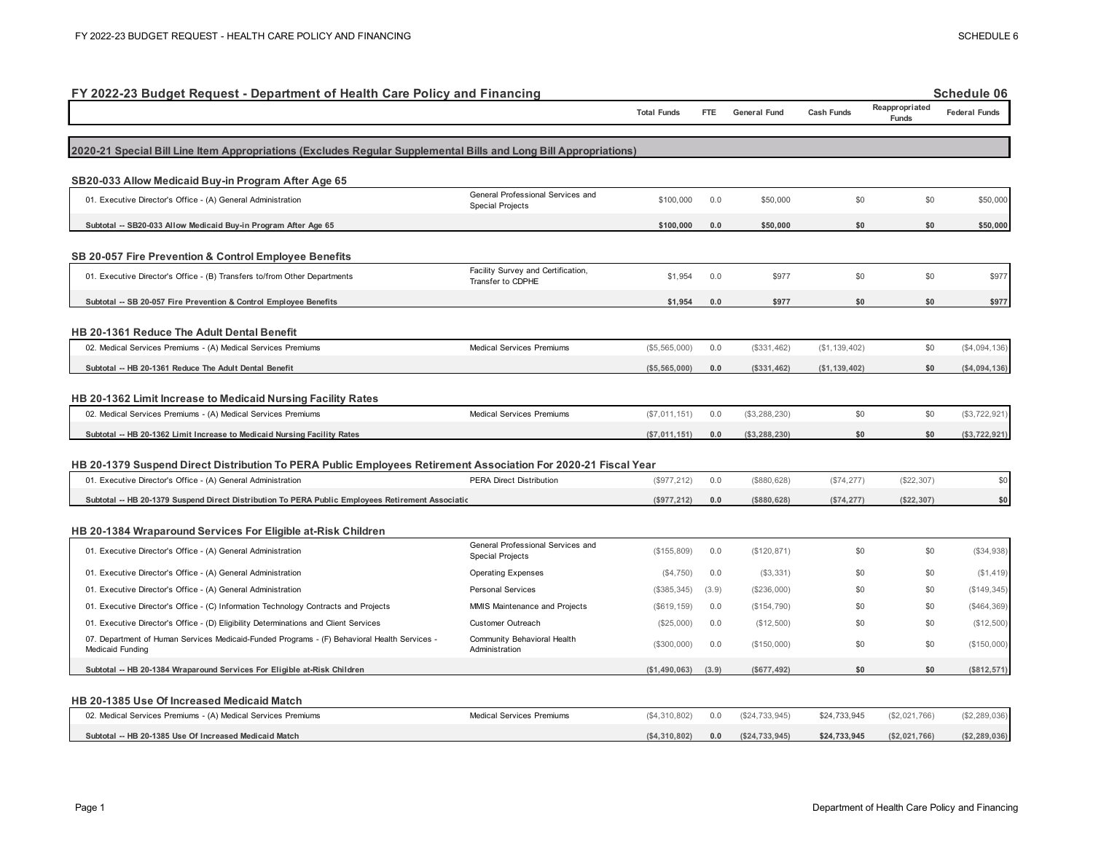| FY 2022-23 Budget Request - Department of Health Care Policy and Financing                                                                                                     |                                                              |                    |       |                     |                   |                         | <b>Schedule 06</b>   |
|--------------------------------------------------------------------------------------------------------------------------------------------------------------------------------|--------------------------------------------------------------|--------------------|-------|---------------------|-------------------|-------------------------|----------------------|
|                                                                                                                                                                                |                                                              | <b>Total Funds</b> | FTE.  | <b>General Fund</b> | <b>Cash Funds</b> | Reappropriated<br>Funds | <b>Federal Funds</b> |
| 2020-21 Special Bill Line Item Appropriations (Excludes Regular Supplemental Bills and Long Bill Appropriations)                                                               |                                                              |                    |       |                     |                   |                         |                      |
| SB20-033 Allow Medicaid Buy-in Program After Age 65                                                                                                                            |                                                              |                    |       |                     |                   |                         |                      |
| 01. Executive Director's Office - (A) General Administration                                                                                                                   | General Professional Services and<br><b>Special Projects</b> | \$100,000          | 0.0   | \$50,000            | \$0               | \$0                     | \$50,000             |
| Subtotal -- SB20-033 Allow Medicaid Buy-in Program After Age 65                                                                                                                |                                                              | \$100,000          | 0.0   | \$50,000            | \$0               | \$0                     | \$50,000             |
| <b>SB 20-057 Fire Prevention &amp; Control Employee Benefits</b>                                                                                                               |                                                              |                    |       |                     |                   |                         |                      |
| 01. Executive Director's Office - (B) Transfers to/from Other Departments                                                                                                      | Facility Survey and Certification,<br>Transfer to CDPHE      | \$1,954            | 0.0   | \$977               | \$0               | \$0                     | \$977                |
| Subtotal -- SB 20-057 Fire Prevention & Control Employee Benefits                                                                                                              |                                                              | \$1,954            | 0.0   | \$977               | \$0               | \$0                     | \$977                |
| HB 20-1361 Reduce The Adult Dental Benefit                                                                                                                                     |                                                              |                    |       |                     |                   |                         |                      |
| 02. Medical Services Premiums - (A) Medical Services Premiums                                                                                                                  | <b>Medical Services Premiums</b>                             | (\$5,565,000)      | 0.0   | (\$331,462)         | (\$1, 139, 402)   | \$0                     | (S4,094,136)         |
| Subtotal -- HB 20-1361 Reduce The Adult Dental Benefit                                                                                                                         |                                                              | ( \$5,565,000)     | 0.0   | (\$331,462)         | (\$1, 139, 402)   | \$0                     | ( \$4,094,136)       |
| HB 20-1362 Limit Increase to Medicaid Nursing Facility Rates                                                                                                                   |                                                              |                    |       |                     |                   |                         |                      |
| 02. Medical Services Premiums - (A) Medical Services Premiums                                                                                                                  | <b>Medical Services Premiums</b>                             | (\$7,011,151)      | 0.0   | (\$3,288,230)       | \$0               | \$0                     | (\$3,722,921)        |
| Subtotal -- HB 20-1362 Limit Increase to Medicaid Nursing Facility Rates                                                                                                       |                                                              | (\$7,011,151)      | 0.0   | (\$3,288,230)       | \$0               | \$0                     | (\$3,722,921)        |
|                                                                                                                                                                                |                                                              |                    |       |                     |                   |                         |                      |
| HB 20-1379 Suspend Direct Distribution To PERA Public Employees Retirement Association For 2020-21 Fiscal Year<br>01. Executive Director's Office - (A) General Administration | <b>PERA Direct Distribution</b>                              | (\$977, 212)       | 0.0   | (\$880,628)         | (\$74, 277)       | (\$22,307)              | \$0                  |
|                                                                                                                                                                                |                                                              |                    |       |                     |                   |                         |                      |
| Subtotal -- HB 20-1379 Suspend Direct Distribution To PERA Public Employees Retirement Association                                                                             |                                                              | (\$977, 212)       | 0.0   | (\$880,628)         | (\$74, 277)       | (\$22,307)              | \$0                  |
| HB 20-1384 Wraparound Services For Eligible at-Risk Children                                                                                                                   |                                                              |                    |       |                     |                   |                         |                      |
| 01. Executive Director's Office - (A) General Administration                                                                                                                   | General Professional Services and<br><b>Special Projects</b> | (\$155,809)        | 0.0   | (\$120, 871)        | \$0               | \$0                     | (\$34,938)           |
| 01. Executive Director's Office - (A) General Administration                                                                                                                   | <b>Operating Expenses</b>                                    | $(\$4,750)$        | 0.0   | (S3, 331)           | \$0               | \$0                     | (\$1,419)            |
| 01. Executive Director's Office - (A) General Administration                                                                                                                   | <b>Personal Services</b>                                     | (\$385,345)        | (3.9) | (\$236,000)         | \$0               | \$0                     | (\$149, 345)         |
| 01. Executive Director's Office - (C) Information Technology Contracts and Projects                                                                                            | MMIS Maintenance and Projects                                | (\$619, 159)       | 0.0   | (\$154,790)         | \$0               | \$0                     | $(\$464,369)$        |
| 01. Executive Director's Office - (D) Eligibility Determinations and Client Services                                                                                           | Customer Outreach                                            | (\$25,000)         | 0.0   | (\$12,500)          | \$0               | \$0                     | (\$12,500)           |
| 07. Department of Human Services Medicaid-Funded Programs - (F) Behavioral Health Services -<br>Medicaid Funding                                                               | Community Behavioral Health<br>Administration                | (\$300,000)        | 0.0   | (\$150,000)         | \$0               | \$0                     | (\$150,000)          |
| Subtotal -- HB 20-1384 Wraparound Services For Eligible at-Risk Children                                                                                                       |                                                              | ( \$1,490,063)     | (3.9) | (\$677,492)         | \$0               | \$0                     | (\$812,571)          |
| HB 20-1385 Use Of Increased Medicaid Match                                                                                                                                     |                                                              |                    |       |                     |                   |                         |                      |
| 02. Medical Services Premiums - (A) Medical Services Premiums                                                                                                                  | <b>Medical Services Premiums</b>                             | (\$4,310,802)      | 0.0   | (\$24,733,945)      | \$24,733,945      | (\$2,021,766)           | (\$2,289,036)        |
| Subtotal -- HB 20-1385 Use Of Increased Medicaid Match                                                                                                                         |                                                              | (S4.310.802)       | 0.0   | (S24.733.945)       | \$24.733.945      | (S2.021.766)            | (\$2,289,036)        |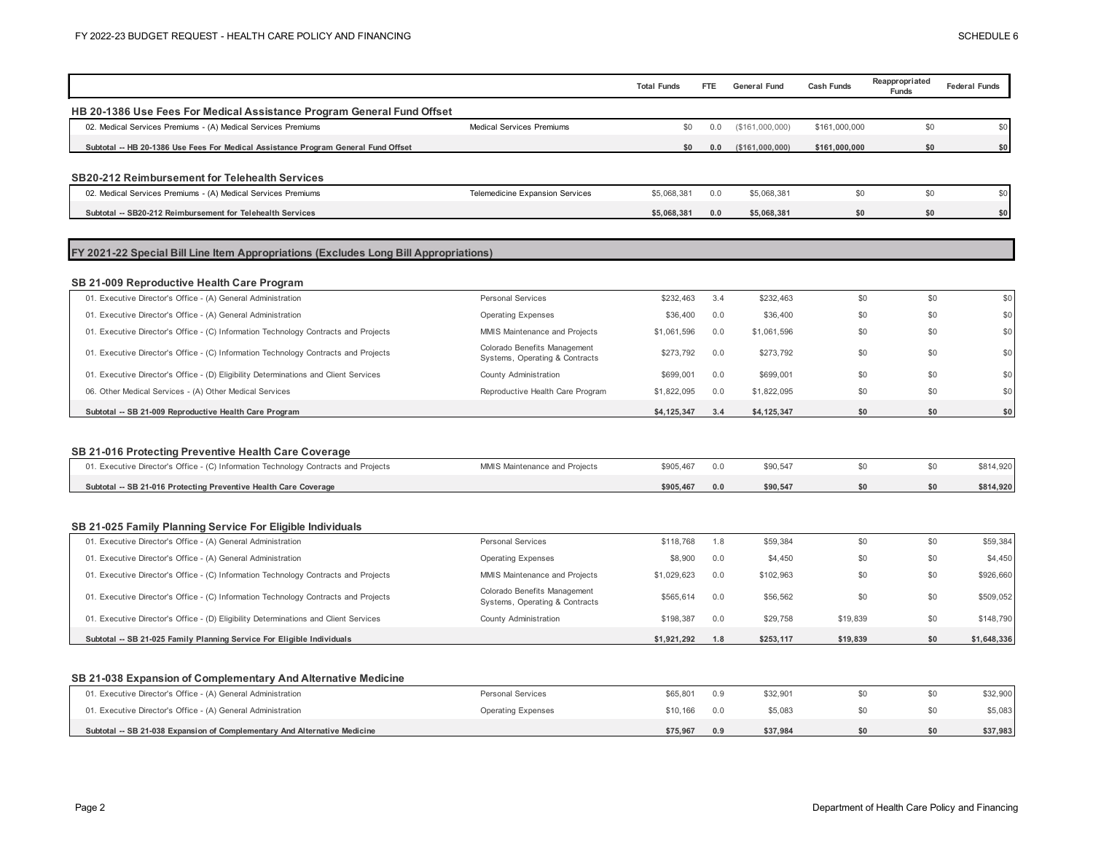|                                                                                                                                             |                                                                | <b>Total Funds</b> | <b>FTE</b> | <b>General Fund</b> | <b>Cash Funds</b> | Reappropriated<br><b>Funds</b> | <b>Federal Funds</b>   |
|---------------------------------------------------------------------------------------------------------------------------------------------|----------------------------------------------------------------|--------------------|------------|---------------------|-------------------|--------------------------------|------------------------|
| HB 20-1386 Use Fees For Medical Assistance Program General Fund Offset                                                                      |                                                                |                    |            |                     |                   |                                |                        |
| 02. Medical Services Premiums - (A) Medical Services Premiums                                                                               | <b>Medical Services Premiums</b>                               | \$0                | 0.0        | (\$161,000,000)     | \$161,000,000     | \$0                            | \$0                    |
| Subtotal -- HB 20-1386 Use Fees For Medical Assistance Program General Fund Offset                                                          |                                                                | \$0                | 0.0        | ( \$161,000,000)    | \$161,000,000     | \$0                            | \$0                    |
|                                                                                                                                             |                                                                |                    |            |                     |                   |                                |                        |
| SB20-212 Reimbursement for Telehealth Services                                                                                              |                                                                |                    |            |                     |                   |                                |                        |
| 02. Medical Services Premiums - (A) Medical Services Premiums                                                                               | <b>Telemedicine Expansion Services</b>                         | \$5,068,381        | 0.0        | \$5,068,381         | \$0               | \$0                            | \$0                    |
| Subtotal -- SB20-212 Reimbursement for Telehealth Services                                                                                  |                                                                | \$5,068,381        | 0.0        | \$5,068,381         | \$0               | \$0                            | \$0                    |
| FY 2021-22 Special Bill Line Item Appropriations (Excludes Long Bill Appropriations)                                                        |                                                                |                    |            |                     |                   |                                |                        |
| SB 21-009 Reproductive Health Care Program                                                                                                  |                                                                |                    |            |                     |                   |                                |                        |
| 01. Executive Director's Office - (A) General Administration                                                                                | <b>Personal Services</b>                                       | \$232,463          | 3.4        | \$232,463           | \$0               | \$0                            | \$0                    |
| 01. Executive Director's Office - (A) General Administration                                                                                | <b>Operating Expenses</b>                                      | \$36,400           | 0.0        | \$36,400            | \$0               | \$0                            | \$0                    |
| 01. Executive Director's Office - (C) Information Technology Contracts and Projects                                                         | MMIS Maintenance and Projects                                  | \$1,061,596        | 0.0        | \$1,061,596         | \$0               | \$0                            | \$0                    |
| 01. Executive Director's Office - (C) Information Technology Contracts and Projects                                                         | Colorado Benefits Management<br>Systems, Operating & Contracts | \$273,792          | 0.0        | \$273,792           | \$0               | \$0                            | \$0                    |
| 01. Executive Director's Office - (D) Eligibility Determinations and Client Services                                                        | County Administration                                          | \$699,001          | 0.0        | \$699,001           | \$0               | \$0                            | \$0                    |
| 06. Other Medical Services - (A) Other Medical Services                                                                                     | Reproductive Health Care Program                               | \$1,822,095        | 0.0        | \$1,822,095         | \$0               | \$0                            | \$0                    |
|                                                                                                                                             |                                                                |                    |            |                     |                   |                                |                        |
| Subtotal -- SB 21-009 Reproductive Health Care Program                                                                                      |                                                                | \$4,125,347        | 3.4        | \$4,125,347         | \$0               | \$0                            | \$0                    |
|                                                                                                                                             |                                                                |                    |            |                     |                   |                                |                        |
| SB 21-016 Protecting Preventive Health Care Coverage<br>01. Executive Director's Office - (C) Information Technology Contracts and Projects | MMIS Maintenance and Projects                                  | \$905,467          | 0.0        | \$90,547            | \$0               | \$0                            | \$814,920              |
| Subtotal -- SB 21-016 Protecting Preventive Health Care Coverage                                                                            |                                                                | \$905,467          | 0.0        | \$90,547            | \$0               | \$0                            | \$814,920              |
| SB 21-025 Family Planning Service For Eligible Individuals                                                                                  |                                                                |                    |            |                     |                   |                                |                        |
| 01. Executive Director's Office - (A) General Administration                                                                                | <b>Personal Services</b>                                       | \$118,768          | 1.8        | \$59,384            | \$0               | \$0                            | \$59,384               |
| 01. Executive Director's Office - (A) General Administration                                                                                | <b>Operating Expenses</b>                                      | \$8,900            | 0.0        | \$4,450             | \$0               | \$0                            | \$4,450                |
| 01. Executive Director's Office - (C) Information Technology Contracts and Projects                                                         | MMIS Maintenance and Projects                                  | \$1,029,623        | 0.0        | \$102,963           | \$0               | \$0                            | \$926,660              |
| 01. Executive Director's Office - (C) Information Technology Contracts and Projects                                                         | Colorado Benefits Management<br>Systems, Operating & Contracts | \$565,614          | 0.0        | \$56,562            | \$0               | \$0                            |                        |
| 01. Executive Director's Office - (D) Eligibility Determinations and Client Services                                                        | County Administration                                          | \$198,387          | 0.0        | \$29,758            | \$19,839          | \$0                            | \$509,052<br>\$148,790 |

| 01. Executive Director's Office - (A) General Administration              | Personal Services         | \$65,801 | 0.9 | \$32.901 |  | \$32,900 |
|---------------------------------------------------------------------------|---------------------------|----------|-----|----------|--|----------|
| 01. Executive Director's Office - (A) General Administration              | <b>Operating Expenses</b> | \$10,166 | 0.0 | \$5.083  |  | \$5,083  |
| Subtotal -- SB 21-038 Expansion of Complementary And Alternative Medicine |                           | \$75.967 | 0.9 | \$37.984 |  | \$37,983 |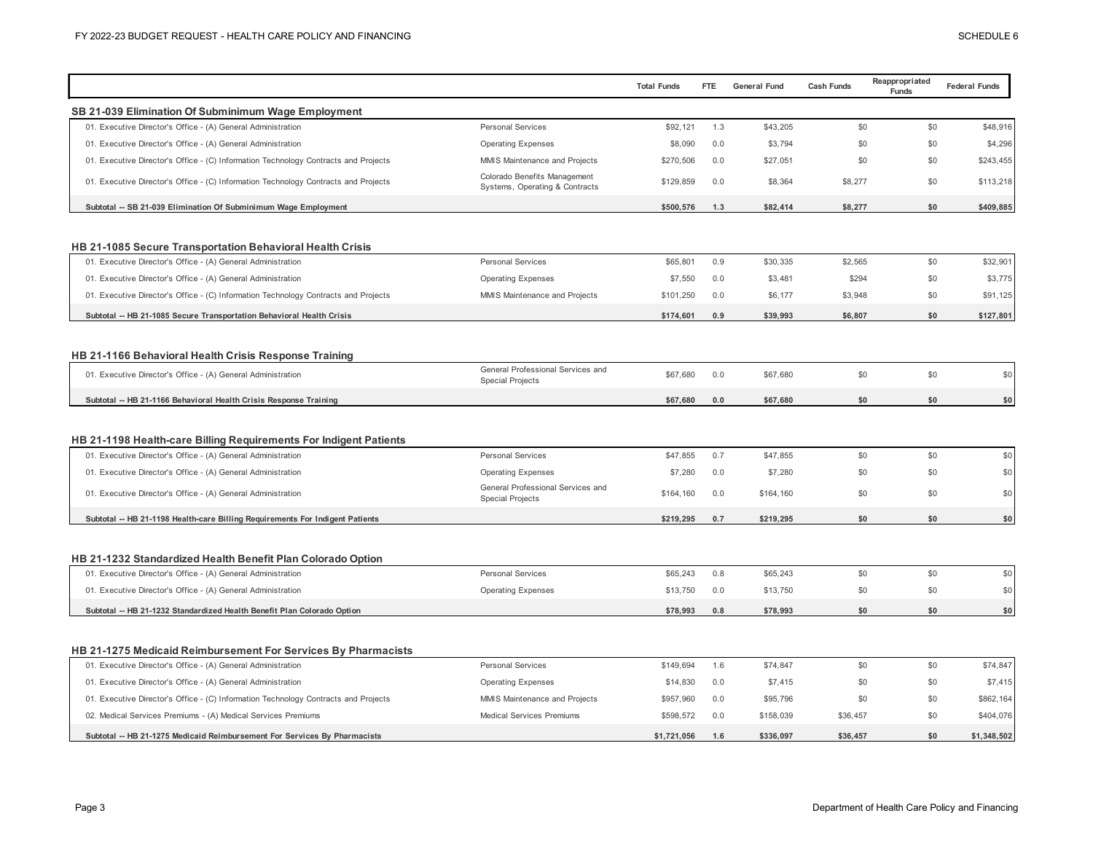|                                                                                                   | <b>Total Funds</b>                                                          | FTE | <b>General Fund</b> | <b>Cash Funds</b> | Reappropriated<br>Funds | <b>Federal Funds</b>                          |
|---------------------------------------------------------------------------------------------------|-----------------------------------------------------------------------------|-----|---------------------|-------------------|-------------------------|-----------------------------------------------|
| SB 21-039 Elimination Of Subminimum Wage Employment                                               |                                                                             |     |                     |                   |                         |                                               |
| 01. Executive Director's Office - (A) General Administration<br>Personal Services                 | \$92,121                                                                    | 1.3 | \$43,205            | \$0               | \$0                     | \$48,916                                      |
| 01. Executive Director's Office - (A) General Administration<br><b>Operating Expenses</b>         | \$8,090                                                                     | 0.0 | \$3,794             | \$0               | \$0                     | \$4,296                                       |
| 01. Executive Director's Office - (C) Information Technology Contracts and Projects               | MMIS Maintenance and Projects<br>\$270,506                                  | 0.0 | \$27,051            | \$0               | \$0                     | \$243,455                                     |
| 01. Executive Director's Office - (C) Information Technology Contracts and Projects               | Colorado Benefits Management<br>\$129,859<br>Systems, Operating & Contracts | 0.0 | \$8,364             | \$8,277           | \$0                     | \$113,218                                     |
| Subtotal -- SB 21-039 Elimination Of Subminimum Wage Employment                                   | \$500,576                                                                   | 1.3 | \$82,414            | \$8,277           | \$0                     | \$409,885                                     |
|                                                                                                   |                                                                             |     |                     |                   |                         |                                               |
| HB 21-1085 Secure Transportation Behavioral Health Crisis                                         |                                                                             |     |                     |                   |                         |                                               |
| Personal Services<br>01. Executive Director's Office - (A) General Administration                 | \$65,801                                                                    | 0.9 | \$30,335            | \$2,565           | \$0                     | \$32,901                                      |
| 01. Executive Director's Office - (A) General Administration<br><b>Operating Expenses</b>         | \$7,550                                                                     | 0.0 | \$3,481             | \$294             | \$0                     | \$3,775                                       |
| 01. Executive Director's Office - (C) Information Technology Contracts and Projects               | MMIS Maintenance and Projects<br>\$101,250                                  | 0.0 | \$6,177             | \$3,948           | \$0                     | \$91,125                                      |
| Subtotal -- HB 21-1085 Secure Transportation Behavioral Health Crisis                             | \$174,601                                                                   | 0.9 | \$39,993            | \$6,807           | \$0                     | \$127,801                                     |
|                                                                                                   |                                                                             |     |                     |                   |                         |                                               |
| HB 21-1166 Behavioral Health Crisis Response Training                                             |                                                                             |     |                     |                   |                         |                                               |
| 01. Executive Director's Office - (A) General Administration<br><b>Special Projects</b>           | General Professional Services and<br>\$67,680                               | 0.0 | \$67,680            | \$0               | \$0                     | \$0                                           |
| Subtotal -- HB 21-1166 Behavioral Health Crisis Response Training                                 | \$67,680                                                                    | 0.0 | \$67.680            | \$0               | \$0                     | \$0                                           |
| HB 21-1198 Health-care Billing Requirements For Indigent Patients                                 |                                                                             |     |                     |                   |                         |                                               |
| Personal Services<br>01. Executive Director's Office - (A) General Administration                 | \$47,855                                                                    | 0.7 | \$47,855            | \$0               | \$0                     | \$0                                           |
| 01. Executive Director's Office - (A) General Administration<br><b>Operating Expenses</b>         | \$7,280                                                                     | 0.0 | \$7,280             | \$0               | \$0                     | \$0                                           |
| 01. Executive Director's Office - (A) General Administration<br><b>Special Projects</b>           | General Professional Services and<br>\$164,160                              | 0.0 | \$164,160           | \$0               | \$0                     | \$0                                           |
| Subtotal -- HB 21-1198 Health-care Billing Requirements For Indigent Patients                     | \$219,295                                                                   | 0.7 | \$219,295           | \$0               | \$0                     | \$0                                           |
|                                                                                                   |                                                                             |     |                     |                   |                         |                                               |
| HB 21-1232 Standardized Health Benefit Plan Colorado Option                                       |                                                                             |     |                     |                   |                         |                                               |
| 01. Executive Director's Office - (A) General Administration<br>Personal Services                 | \$65,243                                                                    | 0.8 | \$65,243            | \$0               | \$0                     | \$0                                           |
| <b>Operating Expenses</b><br>01. Executive Director's Office - (A) General Administration         | \$13,750                                                                    | 0.0 | \$13,750            | \$0               | \$0                     | \$0                                           |
| Subtotal -- HB 21-1232 Standardized Health Benefit Plan Colorado Option                           | \$78,993                                                                    | 0.8 | \$78.993            | \$0               | \$0                     | \$0                                           |
|                                                                                                   |                                                                             |     |                     |                   |                         |                                               |
| HB 21-1275 Medicaid Reimbursement For Services By Pharmacists                                     |                                                                             |     |                     |                   |                         |                                               |
|                                                                                                   |                                                                             |     | \$74,847            |                   |                         |                                               |
| 01. Executive Director's Office - (A) General Administration<br>Personal Services                 | \$149,694                                                                   | 1.6 |                     | \$0               | \$0                     |                                               |
| 01. Executive Director's Office - (A) General Administration<br><b>Operating Expenses</b>         | \$14,830                                                                    | 0.0 | \$7,415             | \$0               | \$0                     |                                               |
| 01. Executive Director's Office - (C) Information Technology Contracts and Projects               | MMIS Maintenance and Projects<br>\$957,960                                  | 0.0 | \$95,796            | \$0               | \$0                     |                                               |
| <b>Medical Services Premiums</b><br>02. Medical Services Premiums - (A) Medical Services Premiums | \$598,572                                                                   | 0.0 | \$158,039           | \$36,457          | \$0                     | \$74,847<br>\$7,415<br>\$862,164<br>\$404,076 |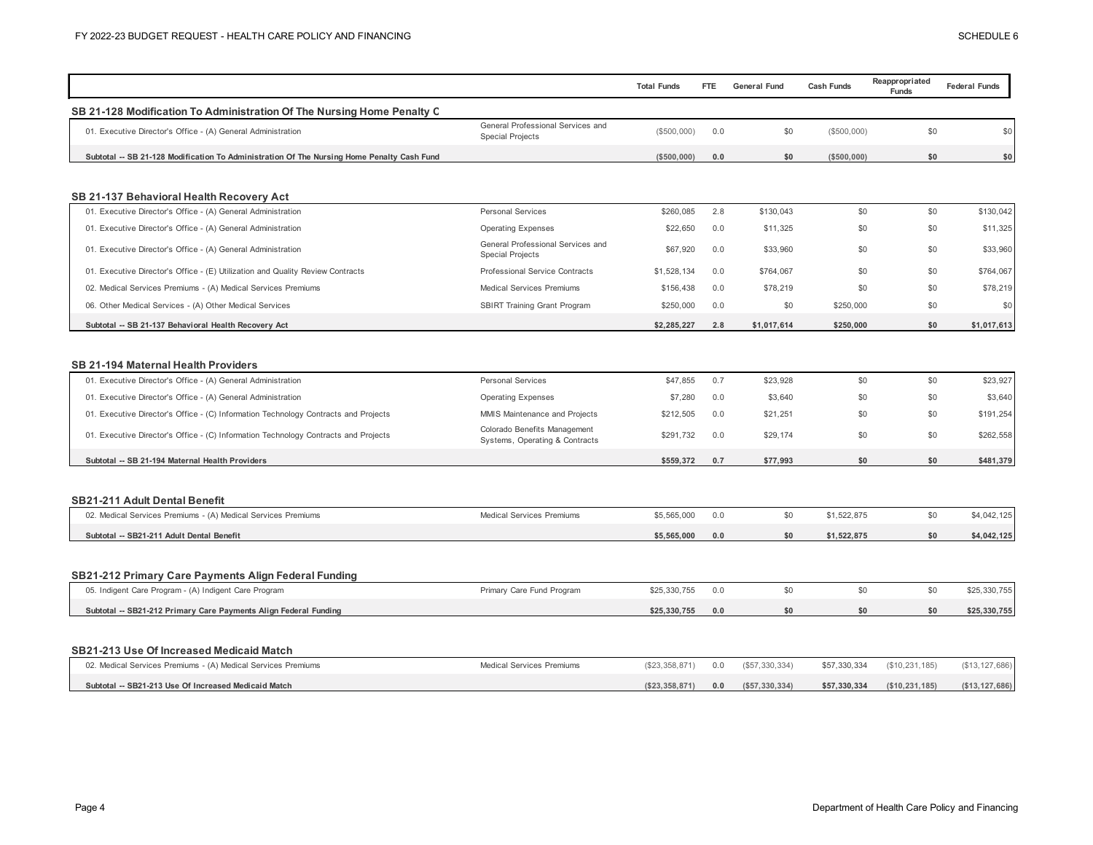|                                                                                                            |                                                                | <b>Total Funds</b> | FTE. | <b>General Fund</b> | <b>Cash Funds</b> | Reappropriated<br><b>Funds</b> | <b>Federal Funds</b> |
|------------------------------------------------------------------------------------------------------------|----------------------------------------------------------------|--------------------|------|---------------------|-------------------|--------------------------------|----------------------|
| SB 21-128 Modification To Administration Of The Nursing Home Penalty C                                     |                                                                |                    |      |                     |                   |                                |                      |
| 01. Executive Director's Office - (A) General Administration                                               | General Professional Services and<br><b>Special Projects</b>   | (\$500,000)        | 0.0  | \$0                 | (\$500,000)       | \$0                            | \$0                  |
| Subtotal -- SB 21-128 Modification To Administration Of The Nursing Home Penalty Cash Fund                 |                                                                | (\$500,000)        | 0.0  | \$0                 | (\$500,000)       | \$0                            | \$0                  |
|                                                                                                            |                                                                |                    |      |                     |                   |                                |                      |
| SB 21-137 Behavioral Health Recovery Act                                                                   |                                                                |                    |      |                     |                   |                                |                      |
| 01. Executive Director's Office - (A) General Administration                                               | Personal Services                                              | \$260,085          | 2.8  | \$130,043           | \$0               | \$0                            | \$130,042            |
| 01. Executive Director's Office - (A) General Administration                                               | <b>Operating Expenses</b>                                      | \$22,650           | 0.0  | \$11,325            | \$0               | \$0                            | \$11,325             |
| 01. Executive Director's Office - (A) General Administration                                               | General Professional Services and<br><b>Special Projects</b>   | \$67,920           | 0.0  | \$33,960            | \$0               | \$0                            | \$33,960             |
| 01. Executive Director's Office - (E) Utilization and Quality Review Contracts                             | Professional Service Contracts                                 | \$1,528,134        | 0.0  | \$764,067           | \$0               | \$0                            | \$764,067            |
| 02. Medical Services Premiums - (A) Medical Services Premiums                                              | <b>Medical Services Premiums</b>                               | \$156,438          | 0.0  | \$78,219            | \$0               | \$0                            | \$78,219             |
| 06. Other Medical Services - (A) Other Medical Services                                                    | <b>SBIRT Training Grant Program</b>                            | \$250,000          | 0.0  | \$0                 | \$250,000         | \$0                            | \$0                  |
| Subtotal -- SB 21-137 Behavioral Health Recovery Act                                                       |                                                                | \$2,285,227        | 2.8  | \$1.017.614         | \$250,000         | \$0                            | \$1,017,613          |
| <b>SB 21-194 Maternal Health Providers</b><br>01. Executive Director's Office - (A) General Administration | Personal Services                                              | \$47,855           | 0.7  | \$23,928            | \$0               | \$0                            | \$23,927             |
| 01. Executive Director's Office - (A) General Administration                                               | <b>Operating Expenses</b>                                      | \$7,280            | 0.0  | \$3,640             | \$0               | \$0                            | \$3,640              |
| 01. Executive Director's Office - (C) Information Technology Contracts and Projects                        | MMIS Maintenance and Projects                                  | \$212,505          | 0.0  | \$21,251            | \$0               | \$0                            | \$191,254            |
| 01. Executive Director's Office - (C) Information Technology Contracts and Projects                        | Colorado Benefits Management<br>Systems, Operating & Contracts | \$291,732          | 0.0  | \$29,174            | \$0               | \$0                            | \$262,558            |
| Subtotal -- SB 21-194 Maternal Health Providers                                                            |                                                                | \$559,372          | 0.7  | \$77,993            | \$0               | \$0                            | \$481,379            |
|                                                                                                            |                                                                |                    |      |                     |                   |                                |                      |
| <b>SB21-211 Adult Dental Benefit</b>                                                                       |                                                                |                    |      |                     |                   |                                |                      |
| 02. Medical Services Premiums - (A) Medical Services Premiums                                              | <b>Medical Services Premiums</b>                               | \$5,565,000        | 0.0  | \$0                 | \$1,522,875       | \$0                            | \$4,042,125          |
| Subtotal -- SB21-211 Adult Dental Benefit                                                                  |                                                                | \$5,565,000        | 0.0  | \$0                 | \$1,522,875       | \$0                            | \$4,042,125          |
|                                                                                                            |                                                                |                    |      |                     |                   |                                |                      |
| SB21-212 Primary Care Payments Align Federal Funding                                                       |                                                                |                    |      |                     |                   |                                |                      |
| 05. Indigent Care Program - (A) Indigent Care Program                                                      | Primary Care Fund Program                                      | \$25,330,755       | 0.0  | \$0                 | \$0               | \$0                            | \$25,330,755         |
| Subtotal -- SB21-212 Primary Care Payments Align Federal Funding                                           |                                                                | \$25,330,755       | 0.0  | \$0                 | \$0               | \$0                            | \$25,330,755         |
| SB21-213 Use Of Increased Medicaid Match                                                                   |                                                                |                    |      |                     |                   |                                |                      |
| 02. Medical Services Premiums - (A) Medical Services Premiums                                              | Medical Services Premiums                                      | (\$23,358,871)     | 0.0  | (\$57,330,334)      | \$57,330,334      | (\$10,231,185)                 | (\$13, 127, 686)     |
| Subtotal -- SB21-213 Use Of Increased Medicaid Match                                                       |                                                                | (\$23,358,871)     | 0.0  | ( \$57, 330, 334)   | \$57,330,334      | (\$10, 231, 185)               | (\$13, 127, 686)     |
|                                                                                                            |                                                                |                    |      |                     |                   |                                |                      |